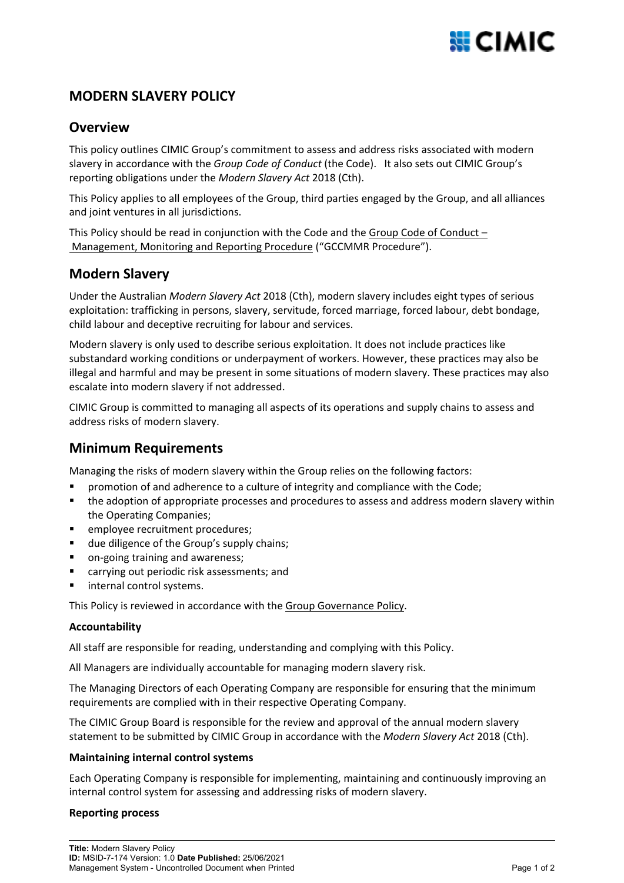## **MODERN SLAVERY POLICY**

### **Overview**

This policy outlines CIMIC Group's commitment to assess and address risks associated with modern slavery in accordance with the *Group Code of Conduct* (the Code). It also sets out CIMIC Group's reporting obligations under the *Modern Slavery Act* 2018 (Cth).

This Policy applies to all employees of the Group, third parties engaged by the Group, and all alliances and joint ventures in all jurisdictions.

This Policy should be read in conjunction with the Code and the [Group Code of Conduct –](http://governance.cimic.com.au/_layouts/WordViewer.aspx?id=/GGDocuments/Group%20Code%20of%20Conduct%20Procedure.docx&Source=http://governance.cimic.com.au/Pages/grouppolicies.aspx&DefaultItemOpen=1)  [Management, Monitoring and Reporting Procedure](http://governance.cimic.com.au/_layouts/WordViewer.aspx?id=/GGDocuments/Group%20Code%20of%20Conduct%20Procedure.docx&Source=http://governance.cimic.com.au/Pages/grouppolicies.aspx&DefaultItemOpen=1) ("GCCMMR Procedure").

### **Modern Slavery**

Under the Australian *Modern Slavery Act* 2018 (Cth), modern slavery includes eight types of serious exploitation: trafficking in persons, slavery, servitude, forced marriage, forced labour, debt bondage, child labour and deceptive recruiting for labour and services.

Modern slavery is only used to describe serious exploitation. It does not include practices like substandard working conditions or underpayment of workers. However, these practices may also be illegal and harmful and may be present in some situations of modern slavery. These practices may also escalate into modern slavery if not addressed.

CIMIC Group is committed to managing all aspects of its operations and supply chains to assess and address risks of modern slavery.

## **Minimum Requirements**

Managing the risks of modern slavery within the Group relies on the following factors:

- promotion of and adherence to a culture of integrity and compliance with the Code;
- the adoption of appropriate processes and procedures to assess and address modern slavery within the Operating Companies;
- **EXEC** employee recruitment procedures;
- **due diligence of the Group's supply chains;**
- on-going training and awareness;
- carrying out periodic risk assessments; and
- internal control systems.

This Policy is reviewed in accordance with the Group Governance Policy.

#### **Accountability**

All staff are responsible for reading, understanding and complying with this Policy.

All Managers are individually accountable for managing modern slavery risk.

The Managing Directors of each Operating Company are responsible for ensuring that the minimum requirements are complied with in their respective Operating Company.

The CIMIC Group Board is responsible for the review and approval of the annual modern slavery statement to be submitted by CIMIC Group in accordance with the *Modern Slavery Act* 2018 (Cth).

### **Maintaining internal control systems**

Each Operating Company is responsible for implementing, maintaining and continuously improving an internal control system for assessing and addressing risks of modern slavery.

### **Reporting process**